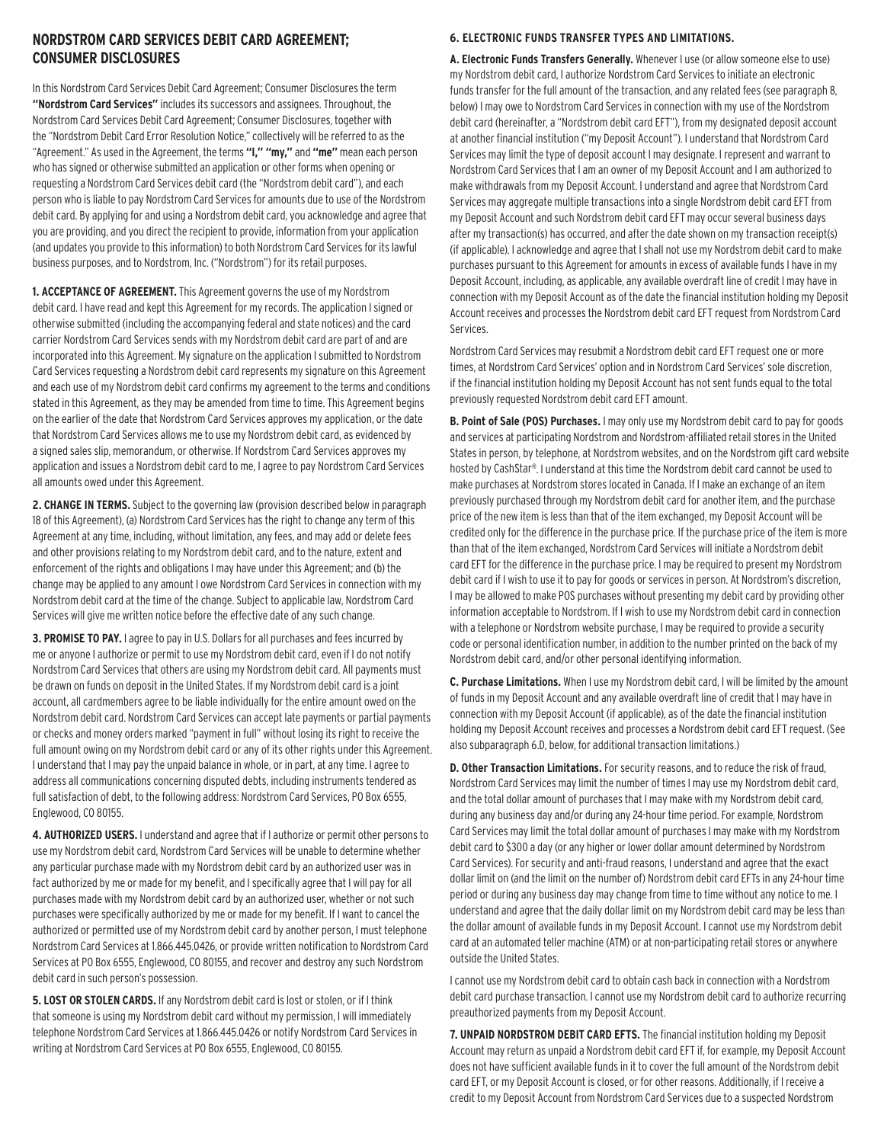# **NORDSTROM CARD SERVICES DEBIT CARD AGREEMENT; CONSUMER DISCLOSURES**

In this Nordstrom Card Services Debit Card Agreement; Consumer Disclosures the term **"Nordstrom Card Services"** includes its successors and assignees. Throughout, the Nordstrom Card Services Debit Card Agreement; Consumer Disclosures, together with the "Nordstrom Debit Card Error Resolution Notice," collectively will be referred to as the "Agreement." As used in the Agreement, the terms **"I," "my,"** and **"me"** mean each person who has signed or otherwise submitted an application or other forms when opening or requesting a Nordstrom Card Services debit card (the "Nordstrom debit card"), and each person who is liable to pay Nordstrom Card Services for amounts due to use of the Nordstrom debit card. By applying for and using a Nordstrom debit card, you acknowledge and agree that you are providing, and you direct the recipient to provide, information from your application (and updates you provide to this information) to both Nordstrom Card Services for its lawful business purposes, and to Nordstrom, Inc. ("Nordstrom") for its retail purposes.

**1. ACCEPTANCE OF AGREEMENT.** This Agreement governs the use of my Nordstrom debit card. I have read and kept this Agreement for my records. The application I signed or otherwise submitted (including the accompanying federal and state notices) and the card carrier Nordstrom Card Services sends with my Nordstrom debit card are part of and are incorporated into this Agreement. My signature on the application I submitted to Nordstrom Card Services requesting a Nordstrom debit card represents my signature on this Agreement and each use of my Nordstrom debit card confirms my agreement to the terms and conditions stated in this Agreement, as they may be amended from time to time. This Agreement begins on the earlier of the date that Nordstrom Card Services approves my application, or the date that Nordstrom Card Services allows me to use my Nordstrom debit card, as evidenced by a signed sales slip, memorandum, or otherwise. If Nordstrom Card Services approves my application and issues a Nordstrom debit card to me, I agree to pay Nordstrom Card Services all amounts owed under this Agreement.

**2. CHANGE IN TERMS.** Subject to the governing law (provision described below in paragraph 18 of this Agreement), (a) Nordstrom Card Services has the right to change any term of this Agreement at any time, including, without limitation, any fees, and may add or delete fees and other provisions relating to my Nordstrom debit card, and to the nature, extent and enforcement of the rights and obligations I may have under this Agreement; and (b) the change may be applied to any amount I owe Nordstrom Card Services in connection with my Nordstrom debit card at the time of the change. Subject to applicable law, Nordstrom Card Services will give me written notice before the effective date of any such change.

**3. PROMISE TO PAY.** I agree to pay in U.S. Dollars for all purchases and fees incurred by me or anyone I authorize or permit to use my Nordstrom debit card, even if I do not notify Nordstrom Card Services that others are using my Nordstrom debit card. All payments must be drawn on funds on deposit in the United States. If my Nordstrom debit card is a joint account, all cardmembers agree to be liable individually for the entire amount owed on the Nordstrom debit card. Nordstrom Card Services can accept late payments or partial payments or checks and money orders marked "payment in full" without losing its right to receive the full amount owing on my Nordstrom debit card or any of its other rights under this Agreement. I understand that I may pay the unpaid balance in whole, or in part, at any time. I agree to address all communications concerning disputed debts, including instruments tendered as full satisfaction of debt, to the following address: Nordstrom Card Services, PO Box 6555, Englewood, CO 80155.

**4. AUTHORIZED USERS.** I understand and agree that if I authorize or permit other persons to use my Nordstrom debit card, Nordstrom Card Services will be unable to determine whether any particular purchase made with my Nordstrom debit card by an authorized user was in fact authorized by me or made for my benefit, and I specifically agree that I will pay for all purchases made with my Nordstrom debit card by an authorized user, whether or not such purchases were specifically authorized by me or made for my benefit. If I want to cancel the authorized or permitted use of my Nordstrom debit card by another person, I must telephone Nordstrom Card Services at 1.866.445.0426, or provide written notification to Nordstrom Card Services at PO Box 6555, Englewood, CO 80155, and recover and destroy any such Nordstrom debit card in such person's possession.

**5. LOST OR STOLEN CARDS.** If any Nordstrom debit card is lost or stolen, or if I think that someone is using my Nordstrom debit card without my permission, I will immediately telephone Nordstrom Card Services at 1.866.445.0426 or notify Nordstrom Card Services in writing at Nordstrom Card Services at PO Box 6555, Englewood, CO 80155.

## **6. ELECTRONIC FUNDS TRANSFER TYPES AND LIMITATIONS.**

**A. Electronic Funds Transfers Generally.** Whenever I use (or allow someone else to use) my Nordstrom debit card, I authorize Nordstrom Card Services to initiate an electronic funds transfer for the full amount of the transaction, and any related fees (see paragraph 8, below) I may owe to Nordstrom Card Services in connection with my use of the Nordstrom debit card (hereinafter, a "Nordstrom debit card EFT"), from my designated deposit account at another financial institution ("my Deposit Account"). I understand that Nordstrom Card Services may limit the type of deposit account I may designate. I represent and warrant to Nordstrom Card Services that I am an owner of my Deposit Account and I am authorized to make withdrawals from my Deposit Account. I understand and agree that Nordstrom Card Services may aggregate multiple transactions into a single Nordstrom debit card EFT from my Deposit Account and such Nordstrom debit card EFT may occur several business days after my transaction(s) has occurred, and after the date shown on my transaction receipt(s) (if applicable). I acknowledge and agree that I shall not use my Nordstrom debit card to make purchases pursuant to this Agreement for amounts in excess of available funds I have in my Deposit Account, including, as applicable, any available overdraft line of credit I may have in connection with my Deposit Account as of the date the financial institution holding my Deposit Account receives and processes the Nordstrom debit card EFT request from Nordstrom Card Services.

Nordstrom Card Services may resubmit a Nordstrom debit card EFT request one or more times, at Nordstrom Card Services' option and in Nordstrom Card Services' sole discretion, if the financial institution holding my Deposit Account has not sent funds equal to the total previously requested Nordstrom debit card EFT amount.

**B. Point of Sale (POS) Purchases.** I may only use my Nordstrom debit card to pay for goods and services at participating Nordstrom and Nordstrom-affiliated retail stores in the United States in person, by telephone, at Nordstrom websites, and on the Nordstrom gift card website hosted by CashStar®. I understand at this time the Nordstrom debit card cannot be used to make purchases at Nordstrom stores located in Canada. If I make an exchange of an item previously purchased through my Nordstrom debit card for another item, and the purchase price of the new item is less than that of the item exchanged, my Deposit Account will be credited only for the difference in the purchase price. If the purchase price of the item is more than that of the item exchanged, Nordstrom Card Services will initiate a Nordstrom debit card EFT for the difference in the purchase price. I may be required to present my Nordstrom debit card if I wish to use it to pay for goods or services in person. At Nordstrom's discretion, I may be allowed to make POS purchases without presenting my debit card by providing other information acceptable to Nordstrom. If I wish to use my Nordstrom debit card in connection with a telephone or Nordstrom website purchase, I may be required to provide a security code or personal identification number, in addition to the number printed on the back of my Nordstrom debit card, and/or other personal identifying information.

**C. Purchase Limitations.** When I use my Nordstrom debit card, I will be limited by the amount of funds in my Deposit Account and any available overdraft line of credit that I may have in connection with my Deposit Account (if applicable), as of the date the financial institution holding my Deposit Account receives and processes a Nordstrom debit card EFT request. (See also subparagraph 6.D, below, for additional transaction limitations.)

**D. Other Transaction Limitations.** For security reasons, and to reduce the risk of fraud, Nordstrom Card Services may limit the number of times I may use my Nordstrom debit card, and the total dollar amount of purchases that I may make with my Nordstrom debit card, during any business day and/or during any 24-hour time period. For example, Nordstrom Card Services may limit the total dollar amount of purchases I may make with my Nordstrom debit card to \$300 a day (or any higher or lower dollar amount determined by Nordstrom Card Services). For security and anti-fraud reasons, I understand and agree that the exact dollar limit on (and the limit on the number of) Nordstrom debit card EFTs in any 24-hour time period or during any business day may change from time to time without any notice to me. I understand and agree that the daily dollar limit on my Nordstrom debit card may be less than the dollar amount of available funds in my Deposit Account. I cannot use my Nordstrom debit card at an automated teller machine (ATM) or at non-participating retail stores or anywhere outside the United States.

I cannot use my Nordstrom debit card to obtain cash back in connection with a Nordstrom debit card purchase transaction. I cannot use my Nordstrom debit card to authorize recurring preauthorized payments from my Deposit Account.

**7. UNPAID NORDSTROM DEBIT CARD EFTS.** The financial institution holding my Deposit Account may return as unpaid a Nordstrom debit card EFT if, for example, my Deposit Account does not have sufficient available funds in it to cover the full amount of the Nordstrom debit card EFT, or my Deposit Account is closed, or for other reasons. Additionally, if I receive a credit to my Deposit Account from Nordstrom Card Services due to a suspected Nordstrom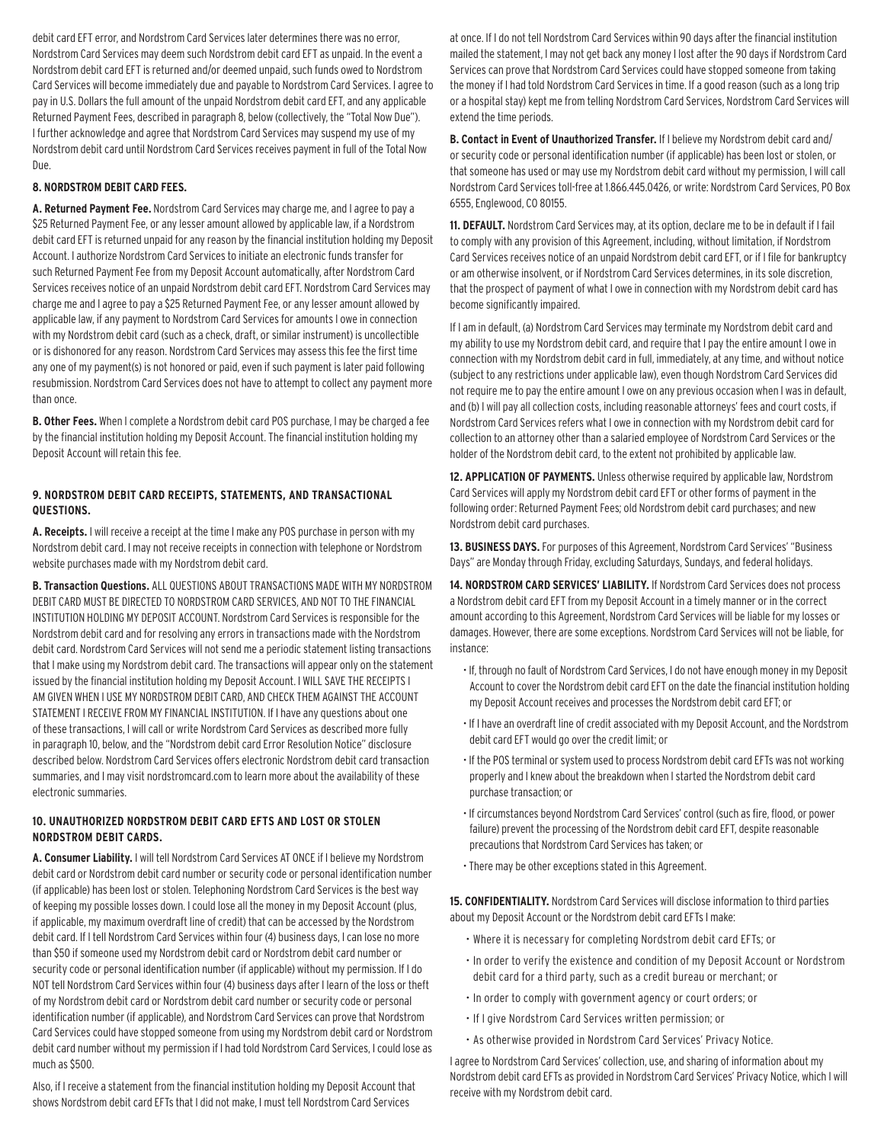debit card EFT error, and Nordstrom Card Services later determines there was no error, Nordstrom Card Services may deem such Nordstrom debit card EFT as unpaid. In the event a Nordstrom debit card EFT is returned and/or deemed unpaid, such funds owed to Nordstrom Card Services will become immediately due and payable to Nordstrom Card Services. I agree to pay in U.S. Dollars the full amount of the unpaid Nordstrom debit card EFT, and any applicable Returned Payment Fees, described in paragraph 8, below (collectively, the "Total Now Due"). I further acknowledge and agree that Nordstrom Card Services may suspend my use of my Nordstrom debit card until Nordstrom Card Services receives payment in full of the Total Now Due.

## **8. NORDSTROM DEBIT CARD FEES.**

**A. Returned Payment Fee.** Nordstrom Card Services may charge me, and I agree to pay a \$25 Returned Payment Fee, or any lesser amount allowed by applicable law, if a Nordstrom debit card EFT is returned unpaid for any reason by the financial institution holding my Deposit Account. I authorize Nordstrom Card Services to initiate an electronic funds transfer for such Returned Payment Fee from my Deposit Account automatically, after Nordstrom Card Services receives notice of an unpaid Nordstrom debit card EFT. Nordstrom Card Services may charge me and I agree to pay a \$25 Returned Payment Fee, or any lesser amount allowed by applicable law, if any payment to Nordstrom Card Services for amounts I owe in connection with my Nordstrom debit card (such as a check, draft, or similar instrument) is uncollectible or is dishonored for any reason. Nordstrom Card Services may assess this fee the first time any one of my payment(s) is not honored or paid, even if such payment is later paid following resubmission. Nordstrom Card Services does not have to attempt to collect any payment more than once.

**B. Other Fees.** When I complete a Nordstrom debit card POS purchase, I may be charged a fee by the financial institution holding my Deposit Account. The financial institution holding my Deposit Account will retain this fee.

#### **9. NORDSTROM DEBIT CARD RECEIPTS, STATEMENTS, AND TRANSACTIONAL QUESTIONS.**

**A. Receipts.** I will receive a receipt at the time I make any POS purchase in person with my Nordstrom debit card. I may not receive receipts in connection with telephone or Nordstrom website purchases made with my Nordstrom debit card.

**B. Transaction Questions.** ALL QUESTIONS ABOUT TRANSACTIONS MADE WITH MY NORDSTROM DEBIT CARD MUST BE DIRECTED TO NORDSTROM CARD SERVICES, AND NOT TO THE FINANCIAL INSTITUTION HOLDING MY DEPOSIT ACCOUNT. Nordstrom Card Services is responsible for the Nordstrom debit card and for resolving any errors in transactions made with the Nordstrom debit card. Nordstrom Card Services will not send me a periodic statement listing transactions that I make using my Nordstrom debit card. The transactions will appear only on the statement issued by the financial institution holding my Deposit Account. I WILL SAVE THE RECEIPTS I AM GIVEN WHEN I USE MY NORDSTROM DEBIT CARD, AND CHECK THEM AGAINST THE ACCOUNT STATEMENT I RECEIVE FROM MY FINANCIAL INSTITUTION. If I have any questions about one of these transactions, I will call or write Nordstrom Card Services as described more fully in paragraph 10, below, and the "Nordstrom debit card Error Resolution Notice" disclosure described below. Nordstrom Card Services offers electronic Nordstrom debit card transaction summaries, and I may visit nordstromcard.com to learn more about the availability of these electronic summaries.

## **10. UNAUTHORIZED NORDSTROM DEBIT CARD EFTS AND LOST OR STOLEN NORDSTROM DEBIT CARDS.**

**A. Consumer Liability.** I will tell Nordstrom Card Services AT ONCE if I believe my Nordstrom debit card or Nordstrom debit card number or security code or personal identification number (if applicable) has been lost or stolen. Telephoning Nordstrom Card Services is the best way of keeping my possible losses down. I could lose all the money in my Deposit Account (plus, if applicable, my maximum overdraft line of credit) that can be accessed by the Nordstrom debit card. If I tell Nordstrom Card Services within four (4) business days, I can lose no more than \$50 if someone used my Nordstrom debit card or Nordstrom debit card number or security code or personal identification number (if applicable) without my permission. If I do NOT tell Nordstrom Card Services within four (4) business days after I learn of the loss or theft of my Nordstrom debit card or Nordstrom debit card number or security code or personal identification number (if applicable), and Nordstrom Card Services can prove that Nordstrom Card Services could have stopped someone from using my Nordstrom debit card or Nordstrom debit card number without my permission if I had told Nordstrom Card Services, I could lose as much as \$500.

Also, if I receive a statement from the financial institution holding my Deposit Account that shows Nordstrom debit card EFTs that I did not make, I must tell Nordstrom Card Services

at once. If I do not tell Nordstrom Card Services within 90 days after the financial institution mailed the statement, I may not get back any money I lost after the 90 days if Nordstrom Card Services can prove that Nordstrom Card Services could have stopped someone from taking the money if I had told Nordstrom Card Services in time. If a good reason (such as a long trip or a hospital stay) kept me from telling Nordstrom Card Services, Nordstrom Card Services will extend the time periods.

**B. Contact in Event of Unauthorized Transfer.** If I believe my Nordstrom debit card and/ or security code or personal identification number (if applicable) has been lost or stolen, or that someone has used or may use my Nordstrom debit card without my permission, I will call Nordstrom Card Services toll-free at 1.866.445.0426, or write: Nordstrom Card Services, PO Box 6555, Englewood, CO 80155.

**11. DEFAULT.** Nordstrom Card Services may, at its option, declare me to be in default if I fail to comply with any provision of this Agreement, including, without limitation, if Nordstrom Card Services receives notice of an unpaid Nordstrom debit card EFT, or if I file for bankruptcy or am otherwise insolvent, or if Nordstrom Card Services determines, in its sole discretion, that the prospect of payment of what I owe in connection with my Nordstrom debit card has become significantly impaired.

If I am in default, (a) Nordstrom Card Services may terminate my Nordstrom debit card and my ability to use my Nordstrom debit card, and require that I pay the entire amount I owe in connection with my Nordstrom debit card in full, immediately, at any time, and without notice (subject to any restrictions under applicable law), even though Nordstrom Card Services did not require me to pay the entire amount I owe on any previous occasion when I was in default, and (b) I will pay all collection costs, including reasonable attorneys' fees and court costs, if Nordstrom Card Services refers what I owe in connection with my Nordstrom debit card for collection to an attorney other than a salaried employee of Nordstrom Card Services or the holder of the Nordstrom debit card, to the extent not prohibited by applicable law.

**12. APPLICATION OF PAYMENTS.** Unless otherwise required by applicable law, Nordstrom Card Services will apply my Nordstrom debit card EFT or other forms of payment in the following order: Returned Payment Fees; old Nordstrom debit card purchases; and new Nordstrom debit card purchases.

**13. BUSINESS DAYS.** For purposes of this Agreement, Nordstrom Card Services' "Business Days" are Monday through Friday, excluding Saturdays, Sundays, and federal holidays.

**14. NORDSTROM CARD SERVICES' LIABILITY.** If Nordstrom Card Services does not process a Nordstrom debit card EFT from my Deposit Account in a timely manner or in the correct amount according to this Agreement, Nordstrom Card Services will be liable for my losses or damages. However, there are some exceptions. Nordstrom Card Services will not be liable, for instance:

- If, through no fault of Nordstrom Card Services, I do not have enough money in my Deposit Account to cover the Nordstrom debit card EFT on the date the financial institution holding my Deposit Account receives and processes the Nordstrom debit card EFT; or
- If I have an overdraft line of credit associated with my Deposit Account, and the Nordstrom debit card EFT would go over the credit limit; or
- If the POS terminal or system used to process Nordstrom debit card EFTs was not working properly and I knew about the breakdown when I started the Nordstrom debit card purchase transaction; or
- If circumstances beyond Nordstrom Card Services' control (such as fire, flood, or power failure) prevent the processing of the Nordstrom debit card EFT, despite reasonable precautions that Nordstrom Card Services has taken; or
- There may be other exceptions stated in this Agreement.

**15. CONFIDENTIALITY.** Nordstrom Card Services will disclose information to third parties about my Deposit Account or the Nordstrom debit card EFTs I make:

- Where it is necessary for completing Nordstrom debit card EFTs; or
- In order to verify the existence and condition of my Deposit Account or Nordstrom debit card for a third party, such as a credit bureau or merchant; or
- In order to comply with government agency or court orders; or
- If I give Nordstrom Card Services written permission; or
- As otherwise provided in Nordstrom Card Services' Privacy Notice.

I agree to Nordstrom Card Services' collection, use, and sharing of information about my Nordstrom debit card EFTs as provided in Nordstrom Card Services' Privacy Notice, which I will receive with my Nordstrom debit card.